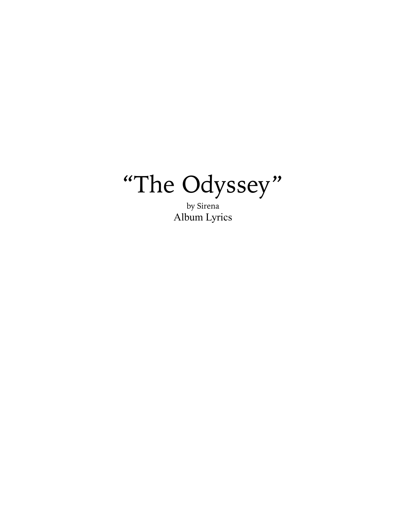

by Sirena Album Lyrics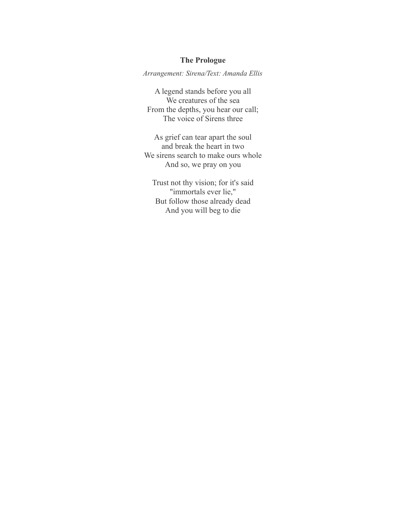# **The Prologue**

*Arrangement: Sirena/Text: Amanda Ellis*

A legend stands before you all We creatures of the sea From the depths, you hear our call; The voice of Sirens three

As grief can tear apart the soul and break the heart in two We sirens search to make ours whole And so, we pray on you

Trust not thy vision; for it's said "immortals ever lie," But follow those already dead And you will beg to die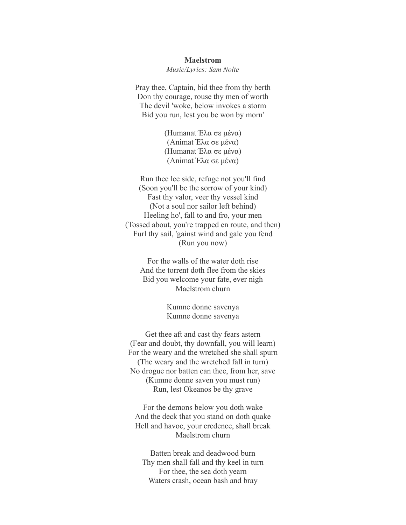#### **Maelstrom**

*Music/Lyrics: Sam Nolte*

Pray thee, Captain, bid thee from thy berth Don thy courage, rouse thy men of worth The devil 'woke, below invokes a storm Bid you run, lest you be won by morn'

> (Humanat Έλα σε μένα) (Animat Έλα σε μένα) (Humanat Έλα σε μένα) (Animat Έλα σε μένα)

Run thee lee side, refuge not you'll find (Soon you'll be the sorrow of your kind) Fast thy valor, veer thy vessel kind (Not a soul nor sailor left behind) Heeling ho', fall to and fro, your men (Tossed about, you're trapped en route, and then) Furl thy sail, 'gainst wind and gale you fend (Run you now)

For the walls of the water doth rise And the torrent doth flee from the skies Bid you welcome your fate, ever nigh Maelstrom churn

> Kumne donne savenya Kumne donne savenya

Get thee aft and cast thy fears astern (Fear and doubt, thy downfall, you will learn) For the weary and the wretched she shall spurn (The weary and the wretched fall in turn) No drogue nor batten can thee, from her, save (Kumne donne saven you must run) Run, lest Okeanos be thy grave

For the demons below you doth wake And the deck that you stand on doth quake Hell and havoc, your credence, shall break Maelstrom churn

Batten break and deadwood burn Thy men shall fall and thy keel in turn For thee, the sea doth yearn Waters crash, ocean bash and bray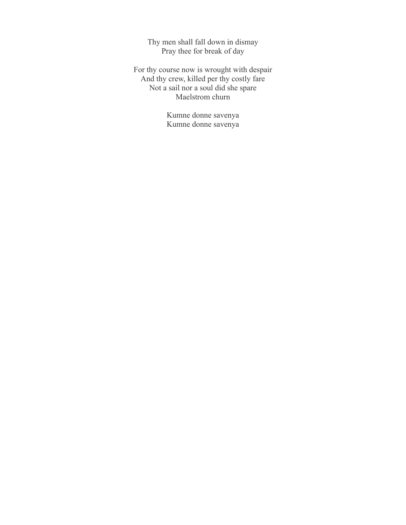Thy men shall fall down in dismay Pray thee for break of day

For thy course now is wrought with despair And thy crew, killed per thy costly fare Not a sail nor a soul did she spare Maelstrom churn

> Kumne donne savenya Kumne donne savenya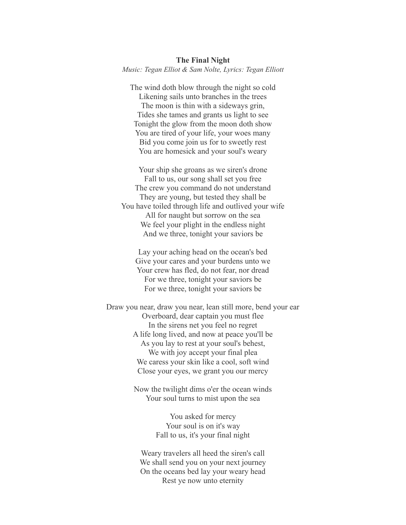The wind doth blow through the night so cold Likening sails unto branches in the trees The moon is thin with a sideways grin, Tides she tames and grants us light to see Tonight the glow from the moon doth show You are tired of your life, your woes many Bid you come join us for to sweetly rest You are homesick and your soul's weary

Your ship she groans as we siren's drone Fall to us, our song shall set you free The crew you command do not understand They are young, but tested they shall be You have toiled through life and outlived your wife All for naught but sorrow on the sea We feel your plight in the endless night And we three, tonight your saviors be

Lay your aching head on the ocean's bed Give your cares and your burdens unto we Your crew has fled, do not fear, nor dread For we three, tonight your saviors be For we three, tonight your saviors be

Draw you near, draw you near, lean still more, bend your ear Overboard, dear captain you must flee In the sirens net you feel no regret A life long lived, and now at peace you'll be As you lay to rest at your soul's behest, We with joy accept your final plea We caress your skin like a cool, soft wind Close your eyes, we grant you our mercy

> Now the twilight dims o'er the ocean winds Your soul turns to mist upon the sea

> > You asked for mercy Your soul is on it's way Fall to us, it's your final night

Weary travelers all heed the siren's call We shall send you on your next journey On the oceans bed lay your weary head Rest ye now unto eternity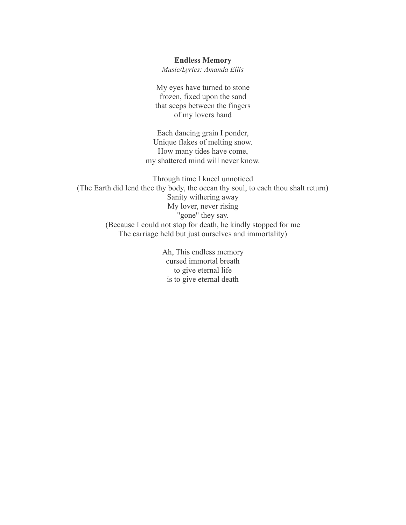## **Endless Memory**

*Music/Lyrics: Amanda Ellis*

My eyes have turned to stone frozen, fixed upon the sand that seeps between the fingers of my lovers hand

Each dancing grain I ponder, Unique flakes of melting snow. How many tides have come, my shattered mind will never know.

Through time I kneel unnoticed (The Earth did lend thee thy body, the ocean thy soul, to each thou shalt return) Sanity withering away My lover, never rising "gone" they say. (Because I could not stop for death, he kindly stopped for me The carriage held but just ourselves and immortality)

> Ah, This endless memory cursed immortal breath to give eternal life is to give eternal death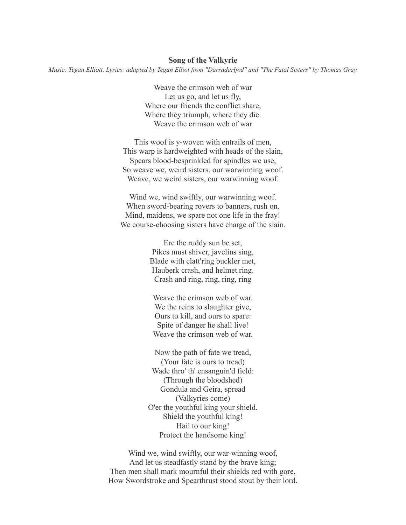#### **Song of the Valkyrie**

*Music: Tegan Elliott, Lyrics: adapted by Tegan Elliot from "Darradarljod" and "The Fatal Sisters" by Thomas Gray*

Weave the crimson web of war Let us go, and let us fly, Where our friends the conflict share, Where they triumph, where they die. Weave the crimson web of war

This woof is y-woven with entrails of men, This warp is hardweighted with heads of the slain, Spears blood-besprinkled for spindles we use, So weave we, weird sisters, our warwinning woof. Weave, we weird sisters, our warwinning woof.

Wind we, wind swiftly, our warwinning woof. When sword-bearing rovers to banners, rush on. Mind, maidens, we spare not one life in the fray! We course-choosing sisters have charge of the slain.

> Ere the ruddy sun be set, Pikes must shiver, javelins sing, Blade with clatt'ring buckler met, Hauberk crash, and helmet ring. Crash and ring, ring, ring, ring

Weave the crimson web of war. We the reins to slaughter give, Ours to kill, and ours to spare: Spite of danger he shall live! Weave the crimson web of war.

Now the path of fate we tread, (Your fate is ours to tread) Wade thro' th' ensanguin'd field: (Through the bloodshed) Gondula and Geira, spread (Valkyries come) O'er the youthful king your shield. Shield the youthful king! Hail to our king! Protect the handsome king!

Wind we, wind swiftly, our war-winning woof, And let us steadfastly stand by the brave king; Then men shall mark mournful their shields red with gore, How Swordstroke and Spearthrust stood stout by their lord.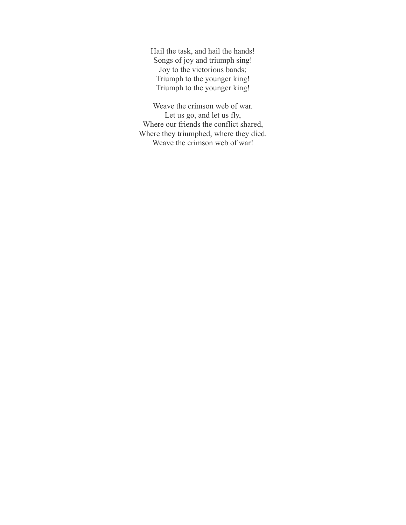Hail the task, and hail the hands! Songs of joy and triumph sing! Joy to the victorious bands; Triumph to the younger king! Triumph to the younger king!

Weave the crimson web of war. Let us go, and let us fly, Where our friends the conflict shared, Where they triumphed, where they died. Weave the crimson web of war!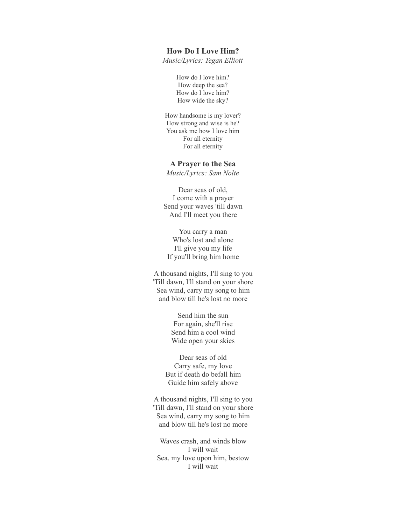## **How Do I Love Him?**

*Music/Lyrics: Tegan Elliott*

How do I love him? How deep the sea? How do I love him? How wide the sky?

How handsome is my lover? How strong and wise is he? You ask me how I love him For all eternity For all eternity

### **A Prayer to the Sea**

*Music/Lyrics: Sam Nolte*

Dear seas of old, I come with a prayer Send your waves 'till dawn And I'll meet you there

You carry a man Who's lost and alone I'll give you my life If you'll bring him home

A thousand nights, I'll sing to you 'Till dawn, I'll stand on your shore Sea wind, carry my song to him and blow till he's lost no more

> Send him the sun For again, she'll rise Send him a cool wind Wide open your skies

Dear seas of old Carry safe, my love But if death do befall him Guide him safely above

A thousand nights, I'll sing to you 'Till dawn, I'll stand on your shore Sea wind, carry my song to him and blow till he's lost no more

Waves crash, and winds blow I will wait Sea, my love upon him, bestow I will wait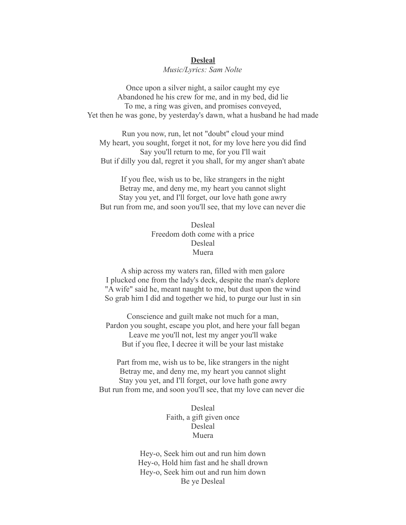## **Desleal**

## *Music/Lyrics: Sam Nolte*

Once upon a silver night, a sailor caught my eye Abandoned he his crew for me, and in my bed, did lie To me, a ring was given, and promises conveyed, Yet then he was gone, by yesterday's dawn, what a husband he had made

Run you now, run, let not "doubt" cloud your mind My heart, you sought, forget it not, for my love here you did find Say you'll return to me, for you I'll wait But if dilly you dal, regret it you shall, for my anger shan't abate

If you flee, wish us to be, like strangers in the night Betray me, and deny me, my heart you cannot slight Stay you yet, and I'll forget, our love hath gone awry But run from me, and soon you'll see, that my love can never die

> Desleal Freedom doth come with a price Desleal Muera

A ship across my waters ran, filled with men galore I plucked one from the lady's deck, despite the man's deplore "A wife" said he, meant naught to me, but dust upon the wind So grab him I did and together we hid, to purge our lust in sin

Conscience and guilt make not much for a man, Pardon you sought, escape you plot, and here your fall began Leave me you'll not, lest my anger you'll wake But if you flee, I decree it will be your last mistake

Part from me, wish us to be, like strangers in the night Betray me, and deny me, my heart you cannot slight Stay you yet, and I'll forget, our love hath gone awry But run from me, and soon you'll see, that my love can never die

> Desleal Faith, a gift given once Desleal Muera

Hey-o, Seek him out and run him down Hey-o, Hold him fast and he shall drown Hey-o, Seek him out and run him down Be ye Desleal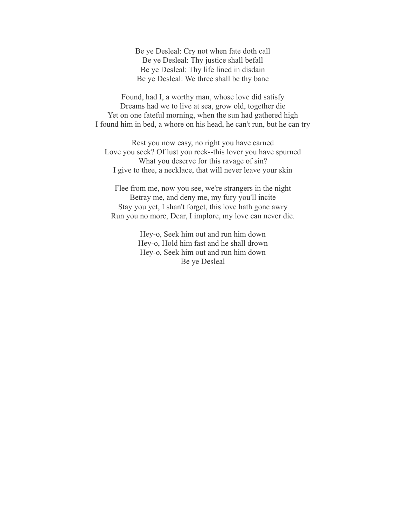Be ye Desleal: Cry not when fate doth call Be ye Desleal: Thy justice shall befall Be ye Desleal: Thy life lined in disdain Be ye Desleal: We three shall be thy bane

Found, had I, a worthy man, whose love did satisfy Dreams had we to live at sea, grow old, together die Yet on one fateful morning, when the sun had gathered high I found him in bed, a whore on his head, he can't run, but he can try

Rest you now easy, no right you have earned Love you seek? Of lust you reek--this lover you have spurned What you deserve for this ravage of sin? I give to thee, a necklace, that will never leave your skin

Flee from me, now you see, we're strangers in the night Betray me, and deny me, my fury you'll incite Stay you yet, I shan't forget, this love hath gone awry Run you no more, Dear, I implore, my love can never die.

> Hey-o, Seek him out and run him down Hey-o, Hold him fast and he shall drown Hey-o, Seek him out and run him down Be ye Desleal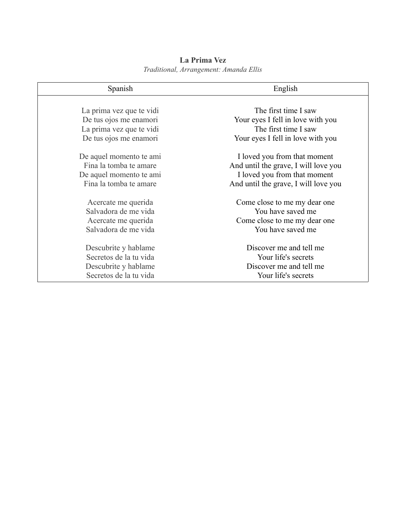| Spanish                  | English                              |
|--------------------------|--------------------------------------|
|                          |                                      |
| La prima vez que te vidi | The first time I saw                 |
| De tus ojos me enamori   | Your eyes I fell in love with you    |
| La prima vez que te vidi | The first time I saw                 |
| De tus ojos me enamori   | Your eyes I fell in love with you    |
| De aquel momento te ami  | I loved you from that moment         |
| Fina la tomba te amare   | And until the grave, I will love you |
| De aquel momento te ami  | I loved you from that moment         |
| Fina la tomba te amare   | And until the grave, I will love you |
| Acercate me querida      | Come close to me my dear one         |
| Salvadora de me vida     | You have saved me                    |
| Acercate me querida      | Come close to me my dear one         |
| Salvadora de me vida     | You have saved me                    |
| Descubrite y hablame     | Discover me and tell me              |
| Secretos de la tu vida   | Your life's secrets                  |
| Descubrite y hablame     | Discover me and tell me              |
| Secretos de la tu vida   | Your life's secrets                  |

# **La Prima Vez** *Traditional, Arrangement: Amanda Ellis*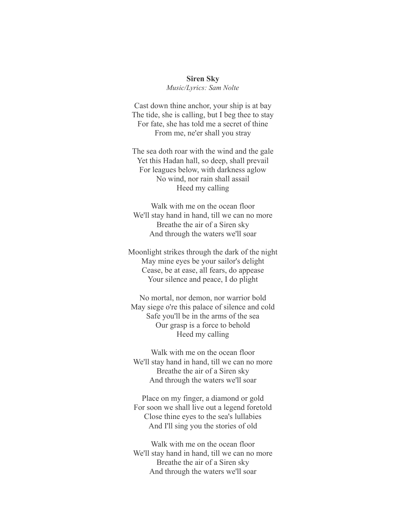#### **Siren Sky**

*Music/Lyrics: Sam Nolte*

Cast down thine anchor, your ship is at bay The tide, she is calling, but I beg thee to stay For fate, she has told me a secret of thine From me, ne'er shall you stray

The sea doth roar with the wind and the gale Yet this Hadan hall, so deep, shall prevail For leagues below, with darkness aglow No wind, nor rain shall assail Heed my calling

Walk with me on the ocean floor We'll stay hand in hand, till we can no more Breathe the air of a Siren sky And through the waters we'll soar

Moonlight strikes through the dark of the night May mine eyes be your sailor's delight Cease, be at ease, all fears, do appease Your silence and peace, I do plight

No mortal, nor demon, nor warrior bold May siege o're this palace of silence and cold Safe you'll be in the arms of the sea Our grasp is a force to behold Heed my calling

Walk with me on the ocean floor We'll stay hand in hand, till we can no more Breathe the air of a Siren sky And through the waters we'll soar

Place on my finger, a diamond or gold For soon we shall live out a legend foretold Close thine eyes to the sea's lullabies And I'll sing you the stories of old

Walk with me on the ocean floor We'll stay hand in hand, till we can no more Breathe the air of a Siren sky And through the waters we'll soar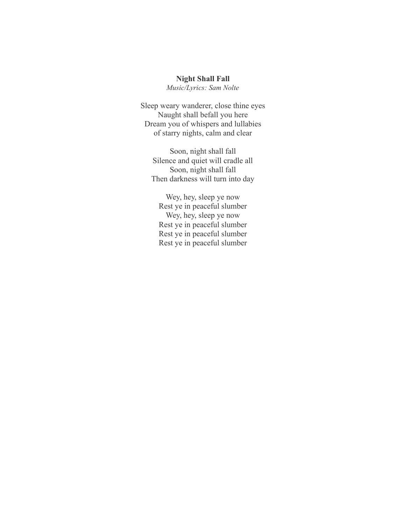# **Night Shall Fall**

*Music/Lyrics: Sam Nolte*

Sleep weary wanderer, close thine eyes Naught shall befall you here Dream you of whispers and lullabies of starry nights, calm and clear

Soon, night shall fall Silence and quiet will cradle all Soon, night shall fall Then darkness will turn into day

Wey, hey, sleep ye now Rest ye in peaceful slumber Wey, hey, sleep ye now Rest ye in peaceful slumber Rest ye in peaceful slumber Rest ye in peaceful slumber